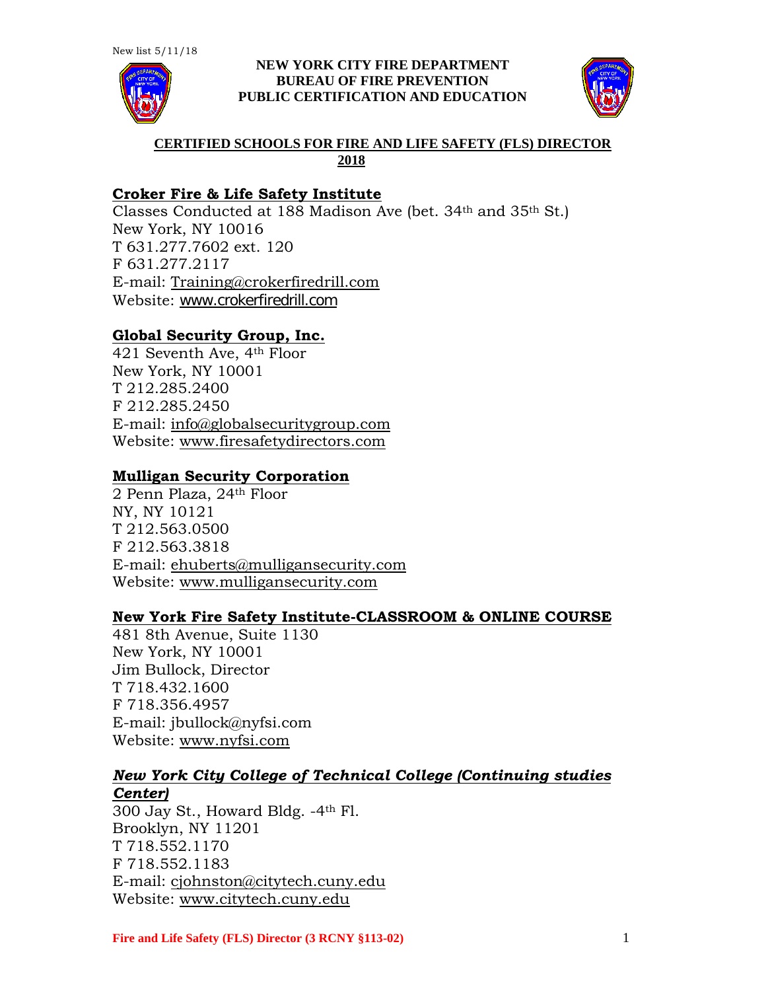

### **NEW YORK CITY FIRE DEPARTMENT BUREAU OF FIRE PREVENTION PUBLIC CERTIFICATION AND EDUCATION**



## **CERTIFIED SCHOOLS FOR FIRE AND LIFE SAFETY (FLS) DIRECTOR 2018**

# **Croker Fire & Life Safety Institute**

Classes Conducted at 188 Madison Ave (bet. 34th and 35th St.) New York, NY 10016 T 631.277.7602 ext. 120 F 631.277.2117 E-mail: [Training@crokerfiredrill.com](mailto:Training@crokerfiredrill.com) Website: [www.crokerfiredrill.com](http://www.crokerfiredrill.com/)

# **Global Security Group, Inc.**

421 Seventh Ave, 4th Floor New York, NY 10001 T 212.285.2400 F 212.285.2450 E-mail: [info@globalsecuritygroup.com](mailto:info@globalsecuritygroup.com) Website: [www.firesafetydirectors.com](http://www.firesafetydirectors.com/)

## **Mulligan Security Corporation**

2 Penn Plaza, 24th Floor NY, NY 10121 T 212.563.0500 F 212.563.3818 E-mail: [ehuberts@mulligansecurity.com](mailto:ehuberts@mulligansecurity.com) Website: [www.mulligansecurity.com](http://www.mulligansecurity.com/)

## **New York Fire Safety Institute-CLASSROOM & ONLINE COURSE**

481 8th Avenue, Suite 1130 New York, NY 10001 Jim Bullock, Director T 718.432.1600 F 718.356.4957 E-mail: jbullock@nyfsi.com Website: [www.nyfsi.com](http://www.nyfsi.com/)

## *New York City College of Technical College (Continuing studies Center)*

300 Jay St., Howard Bldg. -4th Fl. Brooklyn, NY 11201 T 718.552.1170 F 718.552.1183 E-mail: [cjohnston@citytech.cuny.edu](mailto:cjohnston@citytech.cuny.edu) Website: [www.citytech.cuny.edu](http://www.citytech.cuny.edu/)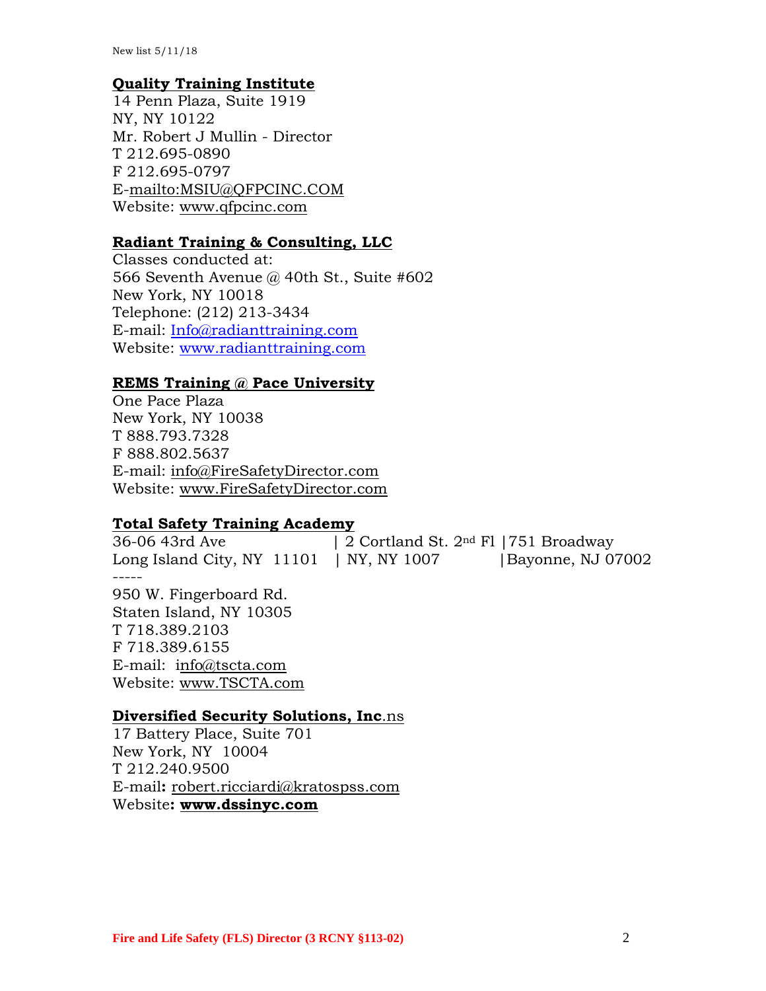### **Quality Training Institute**

14 Penn Plaza, Suite 1919 NY, NY 10122 Mr. Robert J Mullin - Director T 212.695-0890 F 212.695-0797 E[-mailto:MSIU@QFPCINC.COM](mailto:MSIU@QFPCINC.COM) Website: [www.qfpcinc.com](http://www.qfpcinc.com/)

### **Radiant Training & Consulting, LLC**

Classes conducted at: 566 Seventh Avenue @ 40th St., Suite #602 New York, NY 10018 Telephone: (212) 213-3434 E-mail: [Info@radianttraining.com](mailto:Info@radianttraining.com) Website: [www.radianttraining.com](http://www.radianttraining.com/)

# **REMS Training @ Pace University**

One Pace Plaza New York, NY 10038 T 888.793.7328 F 888.802.5637 E-mail: [info@FireSafetyDirector.com](mailto:info@FireSafetyDirector.com) Website: [www.FireSafetyDirector.com](http://www.firesafetydirector.com/)

#### **Total Safety Training Academy**

36-06 43rd Ave | 2 Cortland St. 2<sup>nd</sup> Fl |751 Broadway Long Island City, NY  $11101$  | NY, NY 1007 | Bayonne, NJ 07002 ----- 950 W. Fingerboard Rd. Staten Island, NY 10305 T 718.389.2103 F 718.389.6155 E-mail: [info@tscta.com](mailto:info@tscta.com) Website: [www.TSCTA.com](http://www.tscta.com/)

#### **Diversified Security Solutions, Inc**.ns

17 Battery Place, Suite 701 New York, NY 10004 T 212.240.9500 E-mail**:** [robert.ricciardi@kratospss.com](mailto:robert.ricciardi@kratospss.com) Website**: [www.dssinyc.com](http://www.dssinyc.com/)**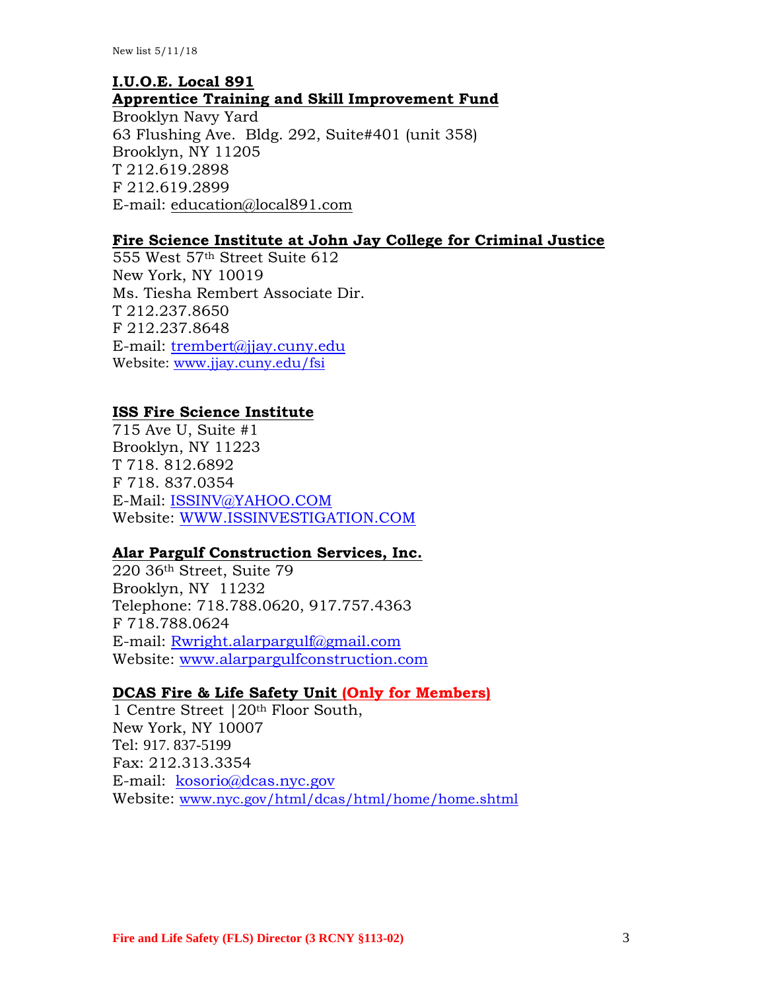# **I.U.O.E. Local 891 Apprentice Training and Skill Improvement Fund**  Brooklyn Navy Yard 63 Flushing Ave. Bldg. 292, Suite#401 (unit 358)

Brooklyn, NY 11205 T 212.619.2898 F 212.619.2899 E-mail: [education@local891.com](mailto:education@local891.com)

## **Fire Science Institute at John Jay College for Criminal Justice**

555 West 57th Street Suite 612 New York, NY 10019 Ms. Tiesha Rembert Associate Dir. T 212.237.8650 F 212.237.8648 E-mail: [trembert@jjay.cuny.edu](mailto:trembert@jjay.cuny.edu) Website: [www.jjay.cuny.edu/fsi](http://www.jjay.cuny.edu/fsi)

## **ISS Fire Science Institute**

715 Ave U, Suite #1 Brooklyn, NY 11223 T 718. 812.6892 F 718. 837.0354 E-Mail: [ISSINV@YAHOO.COM](mailto:ISSINV@YAHOO.COM) Website: [WWW.ISSINVESTIGATION.COM](http://www.issinvestigation.com/)

### **Alar Pargulf Construction Services, Inc.**

220 36th Street, Suite 79 Brooklyn, NY 11232 Telephone: 718.788.0620, 917.757.4363 F 718.788.0624 E-mail: [Rwright.alarpargulf@gmail.com](mailto:Rwright.alarpargulf@gmail.com) Website: [www.alarpargulfconstruction.com](http://www.alarpargulfconstruction.com/)

#### **DCAS Fire & Life Safety Unit (Only for Members)**

1 Centre Street |20th Floor South, New York, NY 10007 Tel: 917. 837-5199 Fax: 212.313.3354 E-mail: [kosorio@dcas.nyc.gov](mailto:kosorio@dcas.nyc.gov) Website: [www.nyc.gov/html/dcas/html/home/home.shtml](http://www.nyc.gov/html/dcas/html/home/home.shtml)